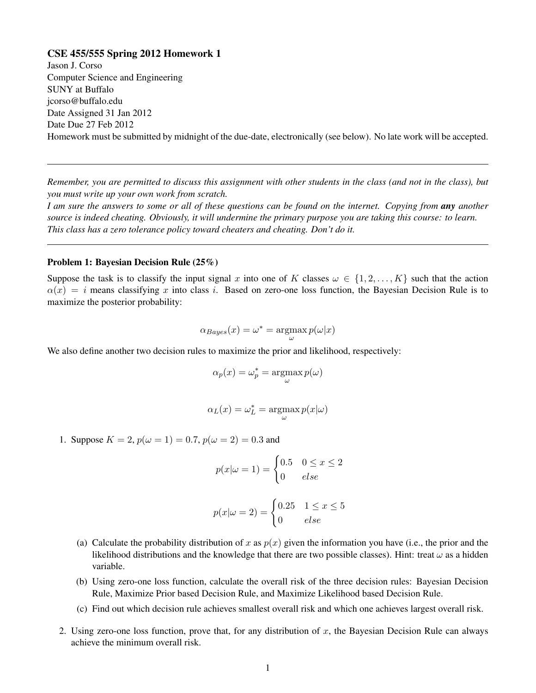### CSE 455/555 Spring 2012 Homework 1

Jason J. Corso Computer Science and Engineering SUNY at Buffalo jcorso@buffalo.edu Date Assigned 31 Jan 2012 Date Due 27 Feb 2012 Homework must be submitted by midnight of the due-date, electronically (see below). No late work will be accepted.

*Remember, you are permitted to discuss this assignment with other students in the class (and not in the class), but you must write up your own work from scratch.*

*I am sure the answers to some or all of these questions can be found on the internet. Copying from any another source is indeed cheating. Obviously, it will undermine the primary purpose you are taking this course: to learn. This class has a zero tolerance policy toward cheaters and cheating. Don't do it.*

#### Problem 1: Bayesian Decision Rule (25%)

Suppose the task is to classify the input signal x into one of K classes  $\omega \in \{1, 2, ..., K\}$  such that the action  $\alpha(x) = i$  means classifying x into class i. Based on zero-one loss function, the Bayesian Decision Rule is to maximize the posterior probability:

$$
\alpha_{Bayes}(x) = \omega^* = \operatorname*{argmax}_{\omega} p(\omega | x)
$$

We also define another two decision rules to maximize the prior and likelihood, respectively:

$$
\alpha_p(x) = \omega_p^* = \operatorname*{argmax}_{\omega} p(\omega)
$$

$$
\alpha_L(x) = \omega_L^* = \operatorname*{argmax}_{\omega} p(x|\omega)
$$

1. Suppose  $K = 2$ ,  $p(\omega = 1) = 0.7$ ,  $p(\omega = 2) = 0.3$  and

$$
p(x|\omega = 1) = \begin{cases} 0.5 & 0 \le x \le 2 \\ 0 & else \end{cases}
$$

$$
p(x|\omega = 2) = \begin{cases} 0.25 & 1 \le x \le 5 \\ 0 & else \end{cases}
$$

- (a) Calculate the probability distribution of x as  $p(x)$  given the information you have (i.e., the prior and the likelihood distributions and the knowledge that there are two possible classes). Hint: treat  $\omega$  as a hidden variable.
- (b) Using zero-one loss function, calculate the overall risk of the three decision rules: Bayesian Decision Rule, Maximize Prior based Decision Rule, and Maximize Likelihood based Decision Rule.
- (c) Find out which decision rule achieves smallest overall risk and which one achieves largest overall risk.
- 2. Using zero-one loss function, prove that, for any distribution of  $x$ , the Bayesian Decision Rule can always achieve the minimum overall risk.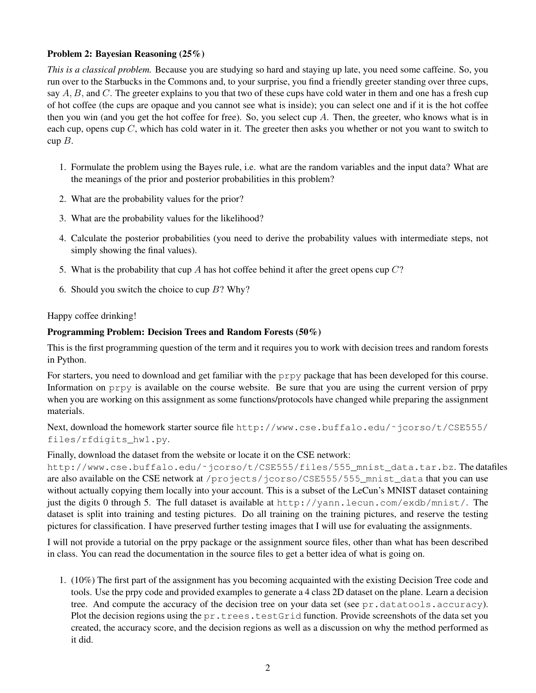## Problem 2: Bayesian Reasoning (25%)

*This is a classical problem.* Because you are studying so hard and staying up late, you need some caffeine. So, you run over to the Starbucks in the Commons and, to your surprise, you find a friendly greeter standing over three cups, say  $A, B$ , and C. The greeter explains to you that two of these cups have cold water in them and one has a fresh cup of hot coffee (the cups are opaque and you cannot see what is inside); you can select one and if it is the hot coffee then you win (and you get the hot coffee for free). So, you select cup A. Then, the greeter, who knows what is in each cup, opens cup  $C$ , which has cold water in it. The greeter then asks you whether or not you want to switch to cup B.

- 1. Formulate the problem using the Bayes rule, i.e. what are the random variables and the input data? What are the meanings of the prior and posterior probabilities in this problem?
- 2. What are the probability values for the prior?
- 3. What are the probability values for the likelihood?
- 4. Calculate the posterior probabilities (you need to derive the probability values with intermediate steps, not simply showing the final values).
- 5. What is the probability that cup A has hot coffee behind it after the greet opens cup  $C$ ?
- 6. Should you switch the choice to cup  $B$ ? Why?

Happy coffee drinking!

# Programming Problem: Decision Trees and Random Forests (50%)

This is the first programming question of the term and it requires you to work with decision trees and random forests in Python.

For starters, you need to download and get familiar with the prpy package that has been developed for this course. Information on prpy is available on the course website. Be sure that you are using the current version of prpy when you are working on this assignment as some functions/protocols have changed while preparing the assignment materials.

Next, download the homework starter source file http://www.cse.buffalo.edu/~jcorso/t/CSE555/ files/rfdigits\_hw1.py.

Finally, download the dataset from the website or locate it on the CSE network:

http://www.cse.buffalo.edu/˜jcorso/t/CSE555/files/555\_mnist\_data.tar.bz. The datafiles are also available on the CSE network at /projects/jcorso/CSE555/555\_mnist\_data that you can use without actually copying them locally into your account. This is a subset of the LeCun's MNIST dataset containing just the digits 0 through 5. The full dataset is available at http://yann.lecun.com/exdb/mnist/. The dataset is split into training and testing pictures. Do all training on the training pictures, and reserve the testing pictures for classification. I have preserved further testing images that I will use for evaluating the assignments.

I will not provide a tutorial on the prpy package or the assignment source files, other than what has been described in class. You can read the documentation in the source files to get a better idea of what is going on.

1. (10%) The first part of the assignment has you becoming acquainted with the existing Decision Tree code and tools. Use the prpy code and provided examples to generate a 4 class 2D dataset on the plane. Learn a decision tree. And compute the accuracy of the decision tree on your data set (see pr.datatools.accuracy). Plot the decision regions using the pr.trees.testGrid function. Provide screenshots of the data set you created, the accuracy score, and the decision regions as well as a discussion on why the method performed as it did.